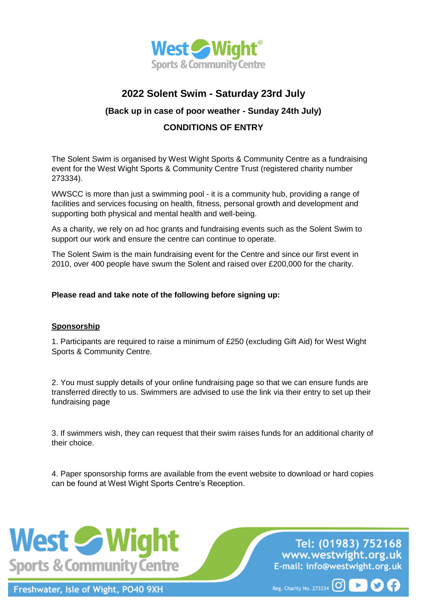

## **2022 Solent Swim - Saturday 23rd July**

### **(Back up in case of poor weather - Sunday 24th July)**

## **CONDITIONS OF ENTRY**

The Solent Swim is organised by West Wight Sports & Community Centre as a fundraising event for the West Wight Sports & Community Centre Trust (registered charity number 273334).

WWSCC is more than just a swimming pool - it is a community hub, providing a range of facilities and services focusing on health, fitness, personal growth and development and supporting both physical and mental health and well-being.

As a charity, we rely on ad hoc grants and fundraising events such as the Solent Swim to support our work and ensure the centre can continue to operate.

The Solent Swim is the main fundraising event for the Centre and since our first event in 2010, over 400 people have swum the Solent and raised over £200,000 for the charity.

#### **Please read and take note of the following before signing up:**

#### **Sponsorship**

1. Participants are required to raise a minimum of £250 (excluding Gift Aid) for West Wight Sports & Community Centre.

2. You must supply details of your online fundraising page so that we can ensure funds are transferred directly to us. Swimmers are advised to use the link via their entry to set up their fundraising page

3. If swimmers wish, they can request that their swim raises funds for an additional charity of their choice.

4. Paper sponsorship forms are available from the event website to download or hard copies can be found at West Wight Sports Centre's Reception.



Freshwater, Isle of Wight, PO40 9XH

Tel: (01983) 752168 www.westwight.org.uk E-mail: info@westwight.org.uk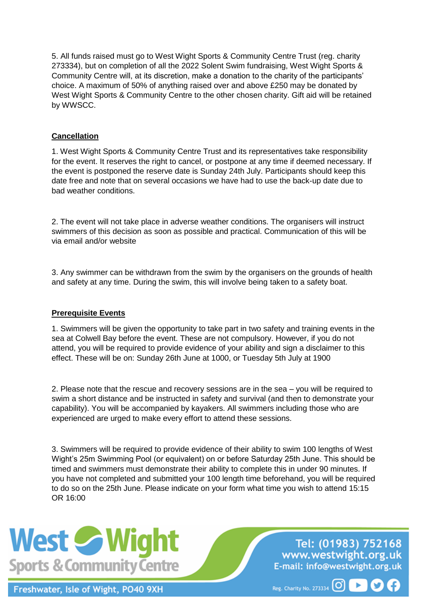5. All funds raised must go to West Wight Sports & Community Centre Trust (reg. charity 273334), but on completion of all the 2022 Solent Swim fundraising, West Wight Sports & Community Centre will, at its discretion, make a donation to the charity of the participants' choice. A maximum of 50% of anything raised over and above £250 may be donated by West Wight Sports & Community Centre to the other chosen charity. Gift aid will be retained by WWSCC.

#### **Cancellation**

1. West Wight Sports & Community Centre Trust and its representatives take responsibility for the event. It reserves the right to cancel, or postpone at any time if deemed necessary. If the event is postponed the reserve date is Sunday 24th July. Participants should keep this date free and note that on several occasions we have had to use the back-up date due to bad weather conditions.

2. The event will not take place in adverse weather conditions. The organisers will instruct swimmers of this decision as soon as possible and practical. Communication of this will be via email and/or website

3. Any swimmer can be withdrawn from the swim by the organisers on the grounds of health and safety at any time. During the swim, this will involve being taken to a safety boat.

#### **Prerequisite Events**

1. Swimmers will be given the opportunity to take part in two safety and training events in the sea at Colwell Bay before the event. These are not compulsory. However, if you do not attend, you will be required to provide evidence of your ability and sign a disclaimer to this effect. These will be on: Sunday 26th June at 1000, or Tuesday 5th July at 1900

2. Please note that the rescue and recovery sessions are in the sea – you will be required to swim a short distance and be instructed in safety and survival (and then to demonstrate your capability). You will be accompanied by kayakers. All swimmers including those who are experienced are urged to make every effort to attend these sessions.

3. Swimmers will be required to provide evidence of their ability to swim 100 lengths of West Wight's 25m Swimming Pool (or equivalent) on or before Saturday 25th June. This should be timed and swimmers must demonstrate their ability to complete this in under 90 minutes. If you have not completed and submitted your 100 length time beforehand, you will be required to do so on the 25th June. Please indicate on your form what time you wish to attend 15:15 OR 16:00



Freshwater, Isle of Wight, PO40 9XH

Tel: (01983) 752168 www.westwight.org.uk E-mail: info@westwight.org.uk

 $\blacktriangleright$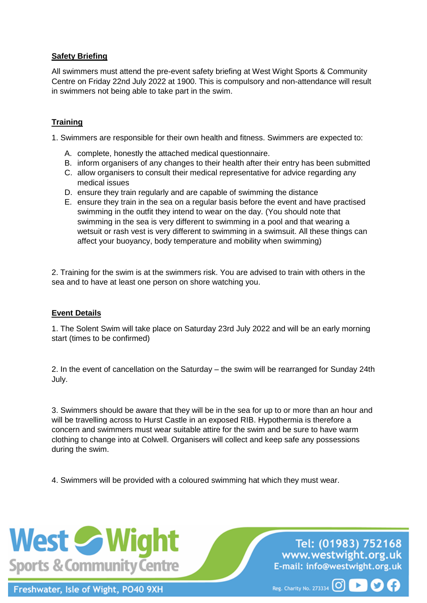#### **Safety Briefing**

All swimmers must attend the pre-event safety briefing at West Wight Sports & Community Centre on Friday 22nd July 2022 at 1900. This is compulsory and non-attendance will result in swimmers not being able to take part in the swim.

#### **Training**

1. Swimmers are responsible for their own health and fitness. Swimmers are expected to:

- A. complete, honestly the attached medical questionnaire.
- B. inform organisers of any changes to their health after their entry has been submitted
- C. allow organisers to consult their medical representative for advice regarding any medical issues
- D. ensure they train regularly and are capable of swimming the distance
- E. ensure they train in the sea on a regular basis before the event and have practised swimming in the outfit they intend to wear on the day. (You should note that swimming in the sea is very different to swimming in a pool and that wearing a wetsuit or rash vest is very different to swimming in a swimsuit. All these things can affect your buoyancy, body temperature and mobility when swimming)

2. Training for the swim is at the swimmers risk. You are advised to train with others in the sea and to have at least one person on shore watching you.

#### **Event Details**

1. The Solent Swim will take place on Saturday 23rd July 2022 and will be an early morning start (times to be confirmed)

2. In the event of cancellation on the Saturday – the swim will be rearranged for Sunday 24th July.

3. Swimmers should be aware that they will be in the sea for up to or more than an hour and will be travelling across to Hurst Castle in an exposed RIB. Hypothermia is therefore a concern and swimmers must wear suitable attire for the swim and be sure to have warm clothing to change into at Colwell. Organisers will collect and keep safe any possessions during the swim.

4. Swimmers will be provided with a coloured swimming hat which they must wear.



Freshwater, Isle of Wight, PO40 9XH

Tel: (01983) 752168 www.westwight.org.uk E-mail: info@westwight.org.uk

 $\blacktriangleright$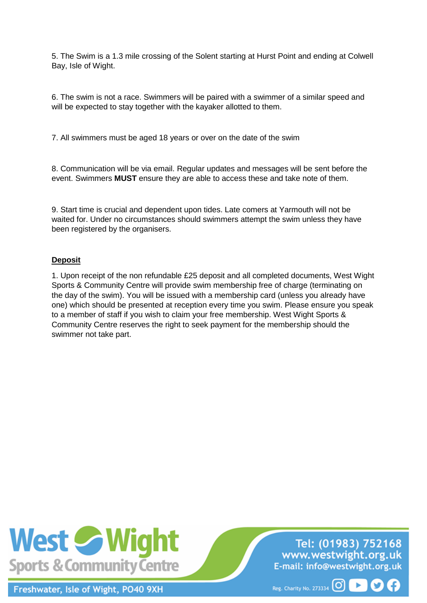5. The Swim is a 1.3 mile crossing of the Solent starting at Hurst Point and ending at Colwell Bay, Isle of Wight.

6. The swim is not a race. Swimmers will be paired with a swimmer of a similar speed and will be expected to stay together with the kayaker allotted to them.

7. All swimmers must be aged 18 years or over on the date of the swim

8. Communication will be via email. Regular updates and messages will be sent before the event. Swimmers **MUST** ensure they are able to access these and take note of them.

9. Start time is crucial and dependent upon tides. Late comers at Yarmouth will not be waited for. Under no circumstances should swimmers attempt the swim unless they have been registered by the organisers.

#### **Deposit**

1. Upon receipt of the non refundable £25 deposit and all completed documents, West Wight Sports & Community Centre will provide swim membership free of charge (terminating on the day of the swim). You will be issued with a membership card (unless you already have one) which should be presented at reception every time you swim. Please ensure you speak to a member of staff if you wish to claim your free membership. West Wight Sports & Community Centre reserves the right to seek payment for the membership should the swimmer not take part.



Freshwater, Isle of Wight, PO40 9XH

Tel: (01983) 752168 www.westwight.org.uk E-mail: info@westwight.org.uk

Þ.

M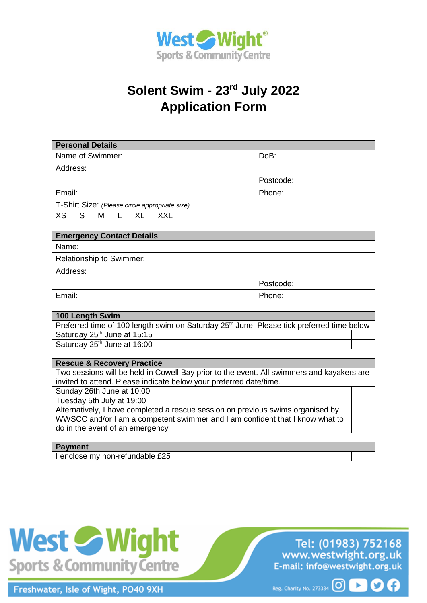

# **Solent Swim - 23rd July 2022 Application Form**

| <b>Personal Details</b>                        |           |
|------------------------------------------------|-----------|
| Name of Swimmer:                               | DoB:      |
| Address:                                       |           |
|                                                | Postcode: |
| Email:                                         | Phone:    |
| T-Shirt Size: (Please circle appropriate size) |           |
| XS.<br>S<br>M<br>XL<br>XXL<br>$\mathbf{1}$     |           |

| <b>Emergency Contact Details</b> |           |
|----------------------------------|-----------|
| Name:                            |           |
| <b>Relationship to Swimmer:</b>  |           |
| Address:                         |           |
|                                  | Postcode: |
| Email:                           | Phone:    |

#### **100 Length Swim**  Preferred time of 100 length swim on Saturday 25<sup>th</sup> June. Please tick preferred time below Saturday 25<sup>th</sup> June at 15:15 Saturday 25<sup>th</sup> June at 16:00

#### **Rescue & Recovery Practice**

Two sessions will be held in Cowell Bay prior to the event. All swimmers and kayakers are invited to attend. Please indicate below your preferred date/time.

Sunday 26th June at 10:00

Tuesday 5th July at 19:00

Alternatively, I have completed a rescue session on previous swims organised by WWSCC and/or I am a competent swimmer and I am confident that I know what to do in the event of an emergency

#### **Payment**

I enclose my non-refundable £25



Freshwater, Isle of Wight, PO40 9XH

Tel: (01983) 752168 www.westwight.org.uk E-mail: info@westwight.org.uk

Reg. Charity No. 273334 0